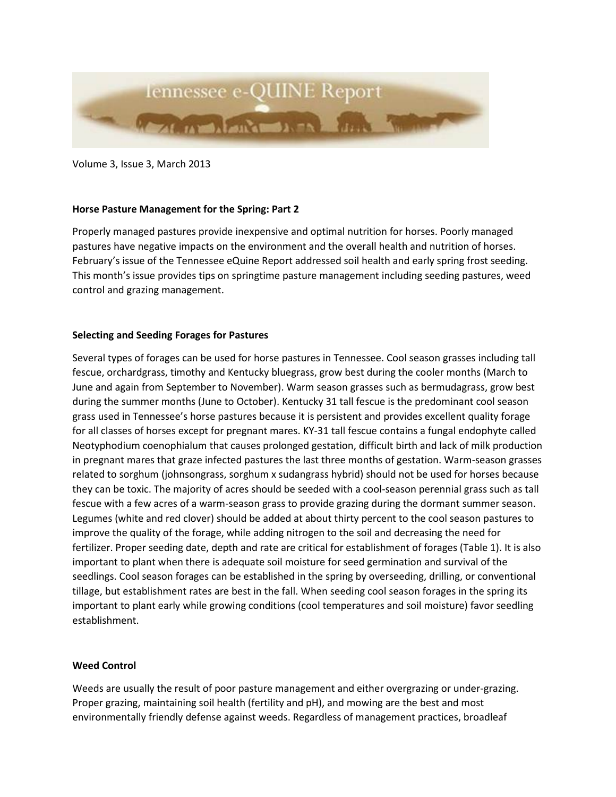

Volume 3, Issue 3, March 2013

## **Horse Pasture Management for the Spring: Part 2**

Properly managed pastures provide inexpensive and optimal nutrition for horses. Poorly managed pastures have negative impacts on the environment and the overall health and nutrition of horses. February's issue of the Tennessee eQuine Report addressed soil health and early spring frost seeding. This month's issue provides tips on springtime pasture management including seeding pastures, weed control and grazing management.

## **Selecting and Seeding Forages for Pastures**

Several types of forages can be used for horse pastures in Tennessee. Cool season grasses including tall fescue, orchardgrass, timothy and Kentucky bluegrass, grow best during the cooler months (March to June and again from September to November). Warm season grasses such as bermudagrass, grow best during the summer months (June to October). Kentucky 31 tall fescue is the predominant cool season grass used in Tennessee's horse pastures because it is persistent and provides excellent quality forage for all classes of horses except for pregnant mares. KY-31 tall fescue contains a fungal endophyte called Neotyphodium coenophialum that causes prolonged gestation, difficult birth and lack of milk production in pregnant mares that graze infected pastures the last three months of gestation. Warm-season grasses related to sorghum (johnsongrass, sorghum x sudangrass hybrid) should not be used for horses because they can be toxic. The majority of acres should be seeded with a cool-season perennial grass such as tall fescue with a few acres of a warm-season grass to provide grazing during the dormant summer season. Legumes (white and red clover) should be added at about thirty percent to the cool season pastures to improve the quality of the forage, while adding nitrogen to the soil and decreasing the need for fertilizer. Proper seeding date, depth and rate are critical for establishment of forages (Table 1). It is also important to plant when there is adequate soil moisture for seed germination and survival of the seedlings. Cool season forages can be established in the spring by overseeding, drilling, or conventional tillage, but establishment rates are best in the fall. When seeding cool season forages in the spring its important to plant early while growing conditions (cool temperatures and soil moisture) favor seedling establishment.

## **Weed Control**

Weeds are usually the result of poor pasture management and either overgrazing or under-grazing. Proper grazing, maintaining soil health (fertility and pH), and mowing are the best and most environmentally friendly defense against weeds. Regardless of management practices, broadleaf